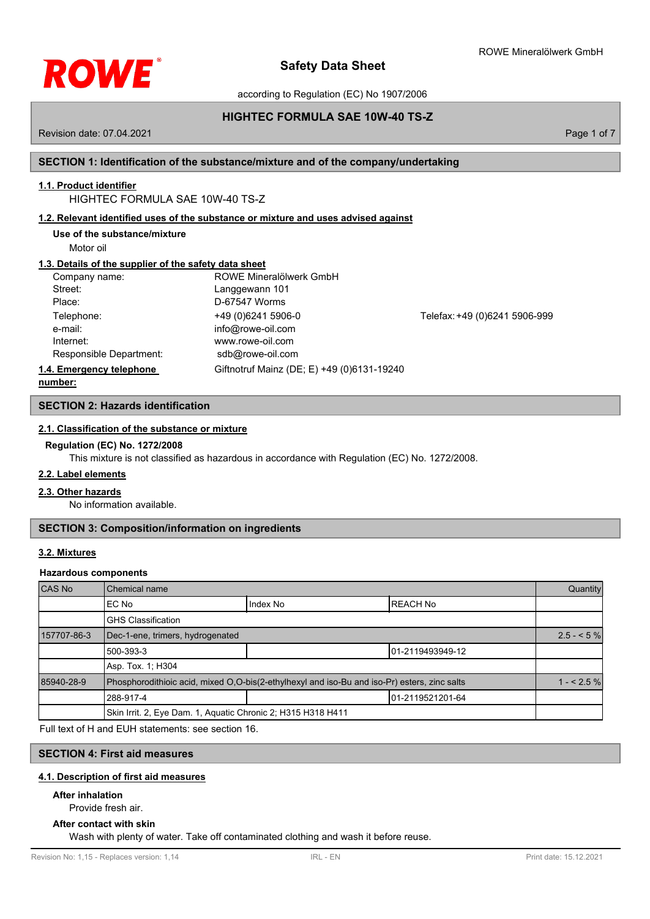

according to Regulation (EC) No 1907/2006

# **HIGHTEC FORMULA SAE 10W-40 TS-Z**

Revision date: 07.04.2021 **Page 1 of 7** and 7 and 7 and 7 and 7 and 7 and 7 and 7 and 7 and 7 and 7 and 7 and 7 and 7 and 7 and 7 and 7 and 7 and 7 and 7 and 7 and 7 and 7 and 7 and 7 and 7 and 7 and 7 and 7 and 7 and 7 an

# **SECTION 1: Identification of the substance/mixture and of the company/undertaking**

# **1.1. Product identifier**

# HIGHTEC FORMULA SAE 10W-40 TS-Z

# **1.2. Relevant identified uses of the substance or mixture and uses advised against**

**Use of the substance/mixture**

Motor oil

# **1.3. Details of the supplier of the safety data sheet**

| Company name:            | ROWE Mineralölwerk GmbH                    |                               |
|--------------------------|--------------------------------------------|-------------------------------|
| Street:                  | Langgewann 101                             |                               |
| Place:                   | D-67547 Worms                              |                               |
| Telephone:               | +49 (0) 6241 5906-0                        | Telefax: +49 (0)6241 5906-999 |
| e-mail:                  | info@rowe-oil.com                          |                               |
| Internet:                | www.rowe-oil.com                           |                               |
| Responsible Department:  | sdb@rowe-oil.com                           |                               |
| 1.4. Emergency telephone | Giftnotruf Mainz (DE; E) +49 (0)6131-19240 |                               |
| numhar:                  |                                            |                               |

**number:**

# **SECTION 2: Hazards identification**

# **2.1. Classification of the substance or mixture**

## **Regulation (EC) No. 1272/2008**

This mixture is not classified as hazardous in accordance with Regulation (EC) No. 1272/2008.

# **2.2. Label elements**

# **2.3. Other hazards**

No information available.

# **SECTION 3: Composition/information on ingredients**

# **3.2. Mixtures**

## **Hazardous components**

| CAS No      | Chemical name                                                                                |          | Quantity          |            |
|-------------|----------------------------------------------------------------------------------------------|----------|-------------------|------------|
|             | EC No                                                                                        | Index No | <b>REACH No</b>   |            |
|             | <b>GHS Classification</b>                                                                    |          |                   |            |
| 157707-86-3 | Dec-1-ene, trimers, hydrogenated                                                             |          |                   | $2.5 - 5%$ |
|             | 500-393-3                                                                                    |          | 101-2119493949-12 |            |
|             | Asp. Tox. 1: H304                                                                            |          |                   |            |
| 85940-28-9  | Phosphorodithioic acid, mixed O,O-bis(2-ethylhexyl and iso-Bu and iso-Pr) esters, zinc salts |          |                   | $1 - 2.5%$ |
|             | 288-917-4                                                                                    |          | 101-2119521201-64 |            |
|             | Skin Irrit. 2, Eye Dam. 1, Aquatic Chronic 2; H315 H318 H411                                 |          |                   |            |

Full text of H and EUH statements: see section 16.

# **SECTION 4: First aid measures**

## **4.1. Description of first aid measures**

# **After inhalation**

Provide fresh air.

## **After contact with skin**

Wash with plenty of water. Take off contaminated clothing and wash it before reuse.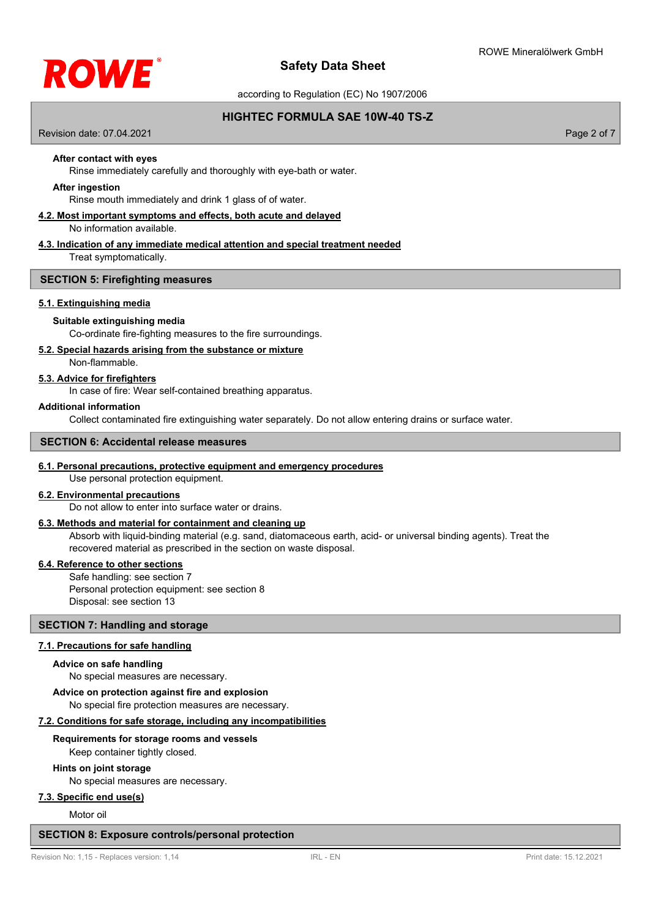

according to Regulation (EC) No 1907/2006

# **HIGHTEC FORMULA SAE 10W-40 TS-Z**

Revision date: 07.04.2021 **Page 2 of 7** and 2021 **Page 2 of 7** and 2021 **Page 2 of 7** and 2021 **Page 2 of 7** and 2021

# **After contact with eyes**

Rinse immediately carefully and thoroughly with eye-bath or water.

# **After ingestion**

Rinse mouth immediately and drink 1 glass of of water.

# **4.2. Most important symptoms and effects, both acute and delayed**

No information available.

#### **4.3. Indication of any immediate medical attention and special treatment needed**

Treat symptomatically.

## **SECTION 5: Firefighting measures**

## **5.1. Extinguishing media**

## **Suitable extinguishing media**

Co-ordinate fire-fighting measures to the fire surroundings.

# **5.2. Special hazards arising from the substance or mixture**

Non-flammable.

# **5.3. Advice for firefighters**

In case of fire: Wear self-contained breathing apparatus.

#### **Additional information**

Collect contaminated fire extinguishing water separately. Do not allow entering drains or surface water.

# **SECTION 6: Accidental release measures**

# **6.1. Personal precautions, protective equipment and emergency procedures**

Use personal protection equipment.

## **6.2. Environmental precautions**

Do not allow to enter into surface water or drains.

# **6.3. Methods and material for containment and cleaning up**

Absorb with liquid-binding material (e.g. sand, diatomaceous earth, acid- or universal binding agents). Treat the recovered material as prescribed in the section on waste disposal.

## **6.4. Reference to other sections**

Safe handling: see section 7 Personal protection equipment: see section 8 Disposal: see section 13

# **SECTION 7: Handling and storage**

## **7.1. Precautions for safe handling**

#### **Advice on safe handling**

No special measures are necessary.

## No special fire protection measures are necessary. **Advice on protection against fire and explosion**

# **7.2. Conditions for safe storage, including any incompatibilities**

## **Requirements for storage rooms and vessels**

Keep container tightly closed.

# **Hints on joint storage**

No special measures are necessary.

# **7.3. Specific end use(s)**

Motor oil

## **SECTION 8: Exposure controls/personal protection**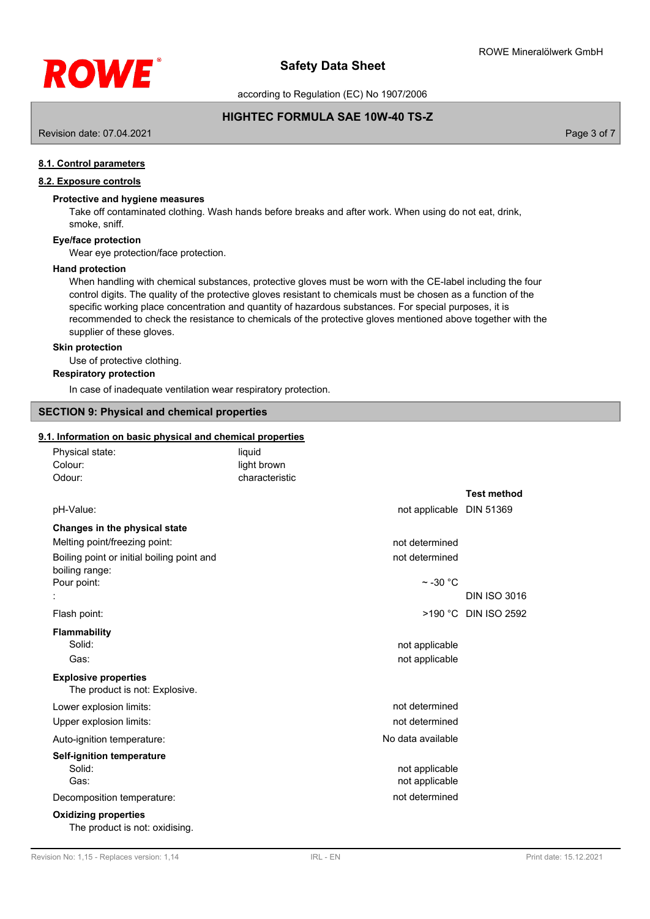

according to Regulation (EC) No 1907/2006

# **HIGHTEC FORMULA SAE 10W-40 TS-Z**

Revision date: 07.04.2021 **Page 3 of 7** and 2021 **Page 3 of 7** and 2021 **Page 3 of 7** and 2021 **Page 3 of 7** and 2021

# **8.1. Control parameters**

# **8.2. Exposure controls**

## **Protective and hygiene measures**

Take off contaminated clothing. Wash hands before breaks and after work. When using do not eat, drink, smoke, sniff.

#### **Eye/face protection**

Wear eye protection/face protection.

#### **Hand protection**

When handling with chemical substances, protective gloves must be worn with the CE-label including the four control digits. The quality of the protective gloves resistant to chemicals must be chosen as a function of the specific working place concentration and quantity of hazardous substances. For special purposes, it is recommended to check the resistance to chemicals of the protective gloves mentioned above together with the supplier of these gloves.

#### **Skin protection**

Use of protective clothing.

**Respiratory protection**

In case of inadequate ventilation wear respiratory protection.

# **SECTION 9: Physical and chemical properties**

#### **9.1. Information on basic physical and chemical properties**

| Physical state:                                               | liquid         |                                  |                      |
|---------------------------------------------------------------|----------------|----------------------------------|----------------------|
| Colour:                                                       | light brown    |                                  |                      |
| Odour:                                                        | characteristic |                                  |                      |
|                                                               |                |                                  | <b>Test method</b>   |
| pH-Value:                                                     |                | not applicable DIN 51369         |                      |
| Changes in the physical state                                 |                |                                  |                      |
| Melting point/freezing point:                                 |                | not determined                   |                      |
| Boiling point or initial boiling point and<br>boiling range:  |                | not determined                   |                      |
| Pour point:                                                   |                | $\sim$ -30 °C                    |                      |
|                                                               |                |                                  | <b>DIN ISO 3016</b>  |
| Flash point:                                                  |                |                                  | >190 °C DIN ISO 2592 |
| <b>Flammability</b>                                           |                |                                  |                      |
| Solid:                                                        |                | not applicable                   |                      |
| Gas:                                                          |                | not applicable                   |                      |
| <b>Explosive properties</b><br>The product is not: Explosive. |                |                                  |                      |
| Lower explosion limits:                                       |                | not determined                   |                      |
| Upper explosion limits:                                       |                | not determined                   |                      |
| Auto-ignition temperature:                                    |                | No data available                |                      |
| Self-ignition temperature                                     |                |                                  |                      |
| Solid:<br>Gas:                                                |                | not applicable<br>not applicable |                      |
| Decomposition temperature:                                    |                | not determined                   |                      |
| <b>Oxidizing properties</b><br>The product is not: oxidising. |                |                                  |                      |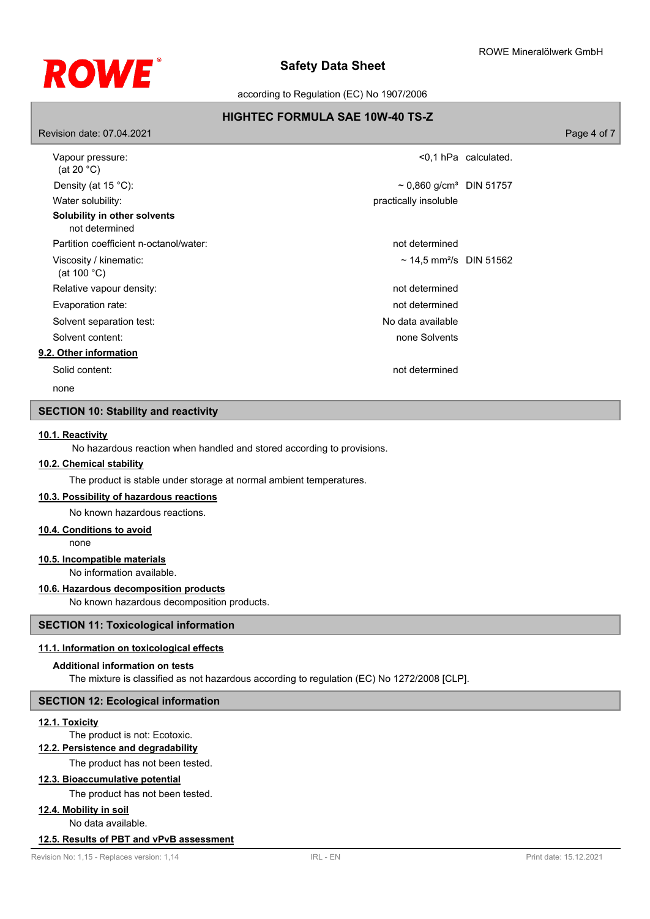

according to Regulation (EC) No 1907/2006

# **HIGHTEC FORMULA SAE 10W-40 TS-Z**

| Revision date: 07.04.2021                       |                                          |                         | Page 4 of 7 |
|-------------------------------------------------|------------------------------------------|-------------------------|-------------|
| Vapour pressure:<br>(at 20 $^{\circ}$ C)        |                                          | $< 0.1$ hPa calculated. |             |
| Density (at $15^{\circ}$ C):                    | $\sim$ 0,860 g/cm <sup>3</sup> DIN 51757 |                         |             |
| Water solubility:                               | practically insoluble                    |                         |             |
| Solubility in other solvents<br>not determined  |                                          |                         |             |
| Partition coefficient n-octanol/water:          | not determined                           |                         |             |
| Viscosity / kinematic:<br>(at 100 $^{\circ}$ C) | ~ 14,5 mm <sup>2</sup> /s DIN 51562      |                         |             |
| Relative vapour density:                        | not determined                           |                         |             |
| Evaporation rate:                               | not determined                           |                         |             |
| Solvent separation test:                        | No data available                        |                         |             |
| Solvent content:                                | none Solvents                            |                         |             |
| 9.2. Other information                          |                                          |                         |             |
| Solid content:                                  | not determined                           |                         |             |

none

# **SECTION 10: Stability and reactivity**

# **10.1. Reactivity**

No hazardous reaction when handled and stored according to provisions.

# **10.2. Chemical stability**

The product is stable under storage at normal ambient temperatures.

**10.3. Possibility of hazardous reactions**

No known hazardous reactions.

## **10.4. Conditions to avoid**

none

# **10.5. Incompatible materials**

No information available.

# **10.6. Hazardous decomposition products**

No known hazardous decomposition products.

# **SECTION 11: Toxicological information**

# **11.1. Information on toxicological effects**

# **Additional information on tests**

The mixture is classified as not hazardous according to regulation (EC) No 1272/2008 [CLP].

# **SECTION 12: Ecological information**

#### **12.1. Toxicity**

The product is not: Ecotoxic.

# **12.2. Persistence and degradability**

The product has not been tested.

## **12.3. Bioaccumulative potential**

The product has not been tested.

# **12.4. Mobility in soil**

No data available.

## **12.5. Results of PBT and vPvB assessment**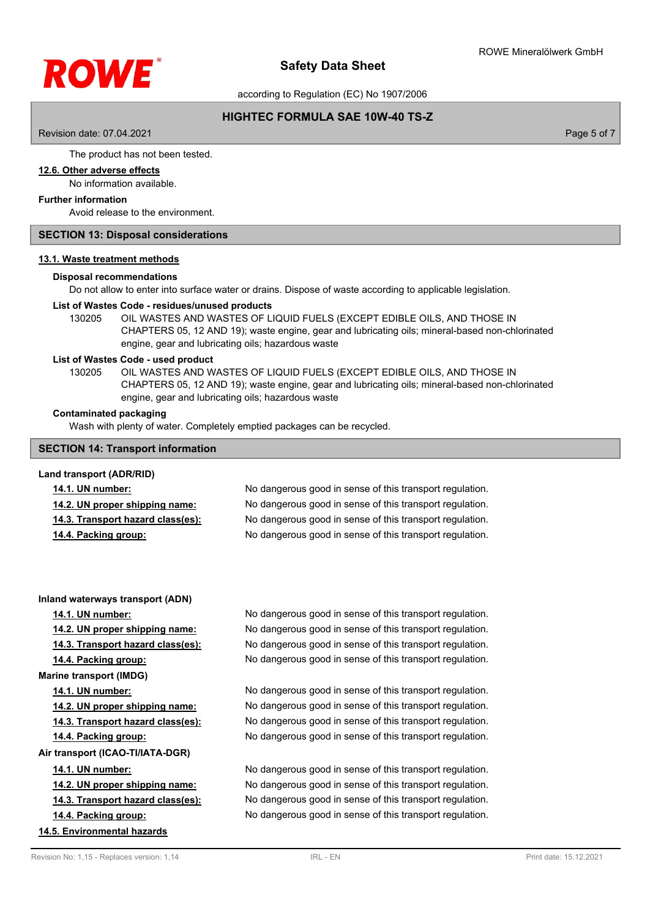

according to Regulation (EC) No 1907/2006

# **HIGHTEC FORMULA SAE 10W-40 TS-Z**

Revision date: 07.04.2021 **Page 5 of 7** and 2021 **Page 5 of 7** and 2021 **Page 5 of 7** and 2021 **Page 5 of 7** and 2021

The product has not been tested.

#### **12.6. Other adverse effects**

No information available.

#### **Further information**

Avoid release to the environment.

#### **SECTION 13: Disposal considerations**

#### **13.1. Waste treatment methods**

## **Disposal recommendations**

Do not allow to enter into surface water or drains. Dispose of waste according to applicable legislation.

## **List of Wastes Code - residues/unused products**

130205 OIL WASTES AND WASTES OF LIQUID FUELS (EXCEPT EDIBLE OILS, AND THOSE IN CHAPTERS 05, 12 AND 19); waste engine, gear and lubricating oils; mineral-based non-chlorinated engine, gear and lubricating oils; hazardous waste

#### **List of Wastes Code - used product**

OIL WASTES AND WASTES OF LIQUID FUELS (EXCEPT EDIBLE OILS, AND THOSE IN CHAPTERS 05, 12 AND 19); waste engine, gear and lubricating oils; mineral-based non-chlorinated engine, gear and lubricating oils; hazardous waste 130205

#### **Contaminated packaging**

Wash with plenty of water. Completely emptied packages can be recycled.

## **SECTION 14: Transport information**

#### **Land transport (ADR/RID)**

| <b>14.1. UN number:</b>           | No dangerous good in sense of this transport regulation. |
|-----------------------------------|----------------------------------------------------------|
| 14.2. UN proper shipping name:    | No dangerous good in sense of this transport regulation. |
| 14.3. Transport hazard class(es): | No dangerous good in sense of this transport regulation. |
| 14.4. Packing group:              | No dangerous good in sense of this transport regulation. |

#### **Inland waterways transport (ADN)**

**Marine transport (IMDG) Air transport (ICAO-TI/IATA-DGR)**

**14.5. Environmental hazards**

**14.1. UN number:** No dangerous good in sense of this transport regulation. **14.2. UN proper shipping name:** No dangerous good in sense of this transport regulation. **14.3. Transport hazard class(es):** No dangerous good in sense of this transport regulation. **14.4. Packing group:** No dangerous good in sense of this transport regulation.

**14.1. UN number:** No dangerous good in sense of this transport regulation. **14.2. UN proper shipping name:** No dangerous good in sense of this transport regulation. **14.3. Transport hazard class(es):** No dangerous good in sense of this transport regulation. **14.4. Packing group:** No dangerous good in sense of this transport regulation.

**14.1. UN number:** No dangerous good in sense of this transport regulation. **14.2. UN proper shipping name:** No dangerous good in sense of this transport regulation. **14.3. Transport hazard class(es):** No dangerous good in sense of this transport regulation. **14.4. Packing group:** No dangerous good in sense of this transport regulation.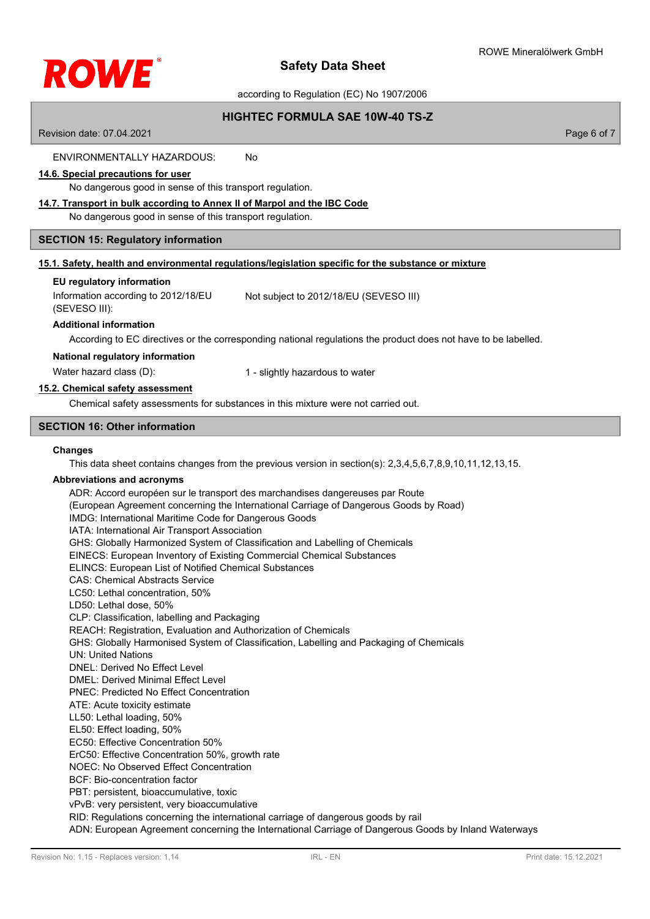

according to Regulation (EC) No 1907/2006

# **HIGHTEC FORMULA SAE 10W-40 TS-Z**

Revision date: 07.04.2021 **Page 6 of 7** and 2021 **Page 6 of 7** and 2021 **Page 6 of 7** and 2021 **Page 6 of 7** ENVIRONMENTALLY HAZARDOUS: No **14.6. Special precautions for user** No dangerous good in sense of this transport regulation. **14.7. Transport in bulk according to Annex II of Marpol and the IBC Code** No dangerous good in sense of this transport regulation. **SECTION 15: Regulatory information 15.1. Safety, health and environmental regulations/legislation specific for the substance or mixture EU regulatory information** Information according to 2012/18/EU (SEVESO III): Not subject to 2012/18/EU (SEVESO III) **Additional information** According to EC directives or the corresponding national regulations the product does not have to be labelled. **National regulatory information** Water hazard class (D): 1 - slightly hazardous to water **15.2. Chemical safety assessment** Chemical safety assessments for substances in this mixture were not carried out. **SECTION 16: Other information Changes** This data sheet contains changes from the previous version in section(s): 2,3,4,5,6,7,8,9,10,11,12,13,15. **Abbreviations and acronyms** ADR: Accord européen sur le transport des marchandises dangereuses par Route (European Agreement concerning the International Carriage of Dangerous Goods by Road) IMDG: International Maritime Code for Dangerous Goods IATA: International Air Transport Association GHS: Globally Harmonized System of Classification and Labelling of Chemicals EINECS: European Inventory of Existing Commercial Chemical Substances ELINCS: European List of Notified Chemical Substances CAS: Chemical Abstracts Service LC50: Lethal concentration, 50% LD50: Lethal dose, 50% CLP: Classification, labelling and Packaging REACH: Registration, Evaluation and Authorization of Chemicals GHS: Globally Harmonised System of Classification, Labelling and Packaging of Chemicals UN: United Nations DNEL: Derived No Effect Level DMEL: Derived Minimal Effect Level PNEC: Predicted No Effect Concentration ATE: Acute toxicity estimate LL50: Lethal loading, 50% EL50: Effect loading, 50% EC50: Effective Concentration 50% ErC50: Effective Concentration 50%, growth rate NOEC: No Observed Effect Concentration BCF: Bio-concentration factor PBT: persistent, bioaccumulative, toxic vPvB: very persistent, very bioaccumulative RID: Regulations concerning the international carriage of dangerous goods by rail ADN: European Agreement concerning the International Carriage of Dangerous Goods by Inland Waterways